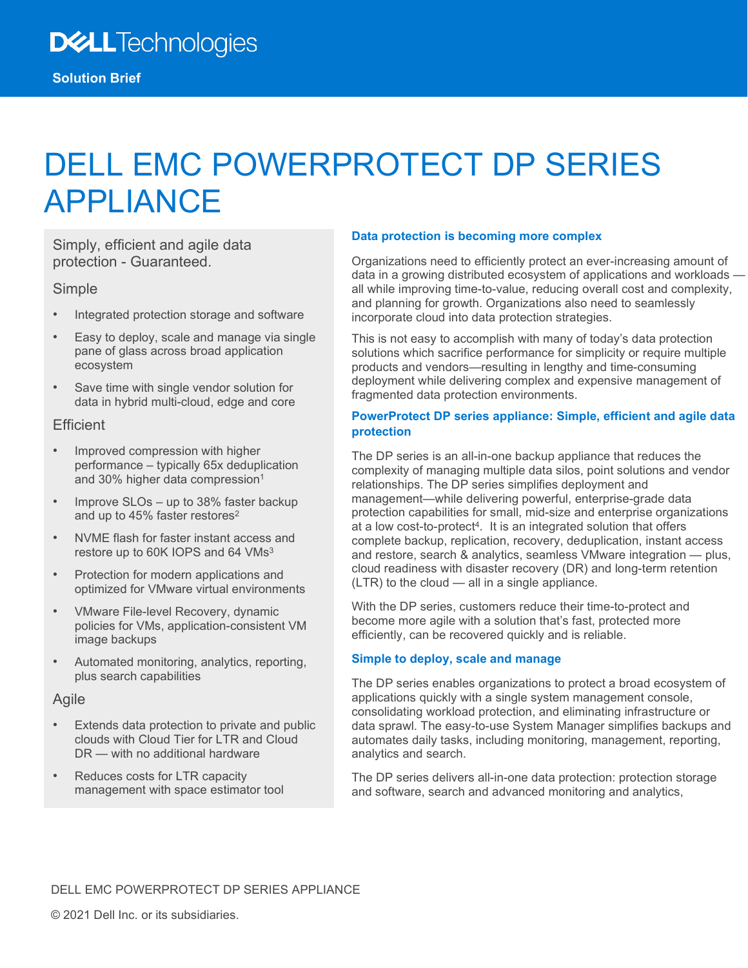# DELL EMC POWERPROTECT DP SERIES APPLIANCE

Simply, efficient and agile data protection - Guaranteed.

#### Simple

- Integrated protection storage and software
- Easy to deploy, scale and manage via single pane of glass across broad application ecosystem
- Save time with single vendor solution for data in hybrid multi-cloud, edge and core

#### **Efficient**

- Improved compression with higher performance – typically 65x deduplication and 30% higher data compression<sup>1</sup>
- Improve SLOs up to 38% faster backup and up to 45% faster restores<sup>2</sup>
- NVME flash for faster instant access and restore up to 60K IOPS and 64 VMs<sup>3</sup>
- Protection for modern applications and optimized for VMware virtual environments
- VMware File-level Recovery, dynamic policies for VMs, application-consistent VM image backups
- Automated monitoring, analytics, reporting, plus search capabilities

#### Agile

- Extends data protection to private and public clouds with Cloud Tier for LTR and Cloud DR — with no additional hardware
- Reduces costs for LTR capacity management with space estimator tool

#### **Data protection is becoming more complex**

Organizations need to efficiently protect an ever-increasing amount of data in a growing distributed ecosystem of applications and workloads all while improving time-to-value, reducing overall cost and complexity, and planning for growth. Organizations also need to seamlessly incorporate cloud into data protection strategies.

This is not easy to accomplish with many of today's data protection solutions which sacrifice performance for simplicity or require multiple products and vendors—resulting in lengthy and time-consuming deployment while delivering complex and expensive management of fragmented data protection environments.

#### **PowerProtect DP series appliance: Simple, efficient and agile data protection**

The DP series is an all-in-one backup appliance that reduces the complexity of managing multiple data silos, point solutions and vendor relationships. The DP series simplifies deployment and management—while delivering powerful, enterprise-grade data protection capabilities for small, mid-size and enterprise organizations at a low cost-to-protect4. It is an integrated solution that offers complete backup, replication, recovery, deduplication, instant access and restore, search & analytics, seamless VMware integration — plus, cloud readiness with disaster recovery (DR) and long-term retention (LTR) to the cloud — all in a single appliance.

With the DP series, customers reduce their time-to-protect and become more agile with a solution that's fast, protected more efficiently, can be recovered quickly and is reliable.

#### **Simple to deploy, scale and manage**

The DP series enables organizations to protect a broad ecosystem of applications quickly with a single system management console, consolidating workload protection, and eliminating infrastructure or data sprawl. The easy-to-use System Manager simplifies backups and automates daily tasks, including monitoring, management, reporting, analytics and search.

The DP series delivers all-in-one data protection: protection storage and software, search and advanced monitoring and analytics,

#### DELL EMC POWERPROTECT DP SERIES APPLIANCE

© 2021 Dell Inc. or its subsidiaries.